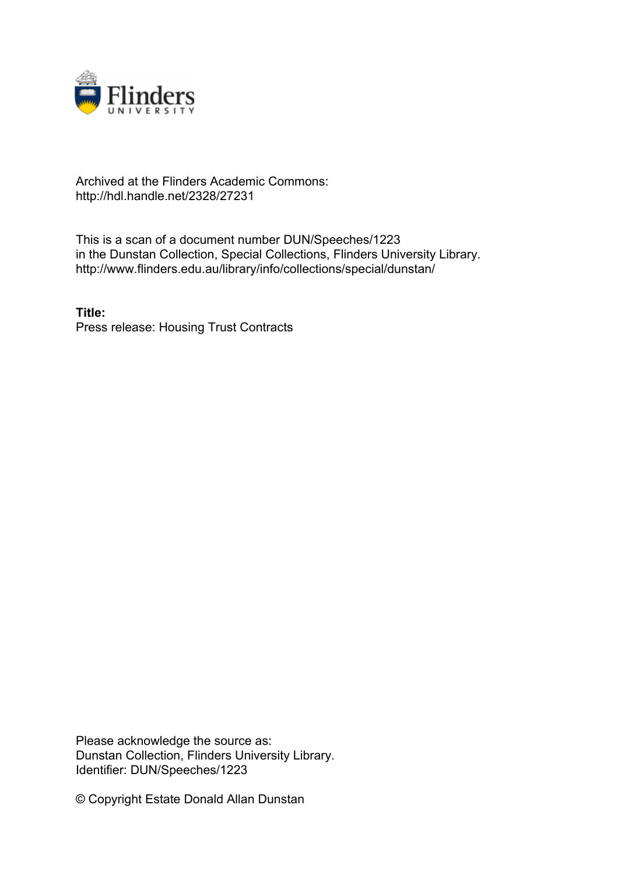

## Archived at the Flinders Academic Commons: http://hdl.handle.net/2328/27231

This is a scan of a document number DUN/Speeches/1223 in the Dunstan Collection, Special Collections, Flinders University Library. http://www.flinders.edu.au/library/info/collections/special/dunstan/

**Title:** Press release: Housing Trust Contracts

Please acknowledge the source as: Dunstan Collection, Flinders University Library. Identifier: DUN/Speeches/1223

© Copyright Estate Donald Allan Dunstan